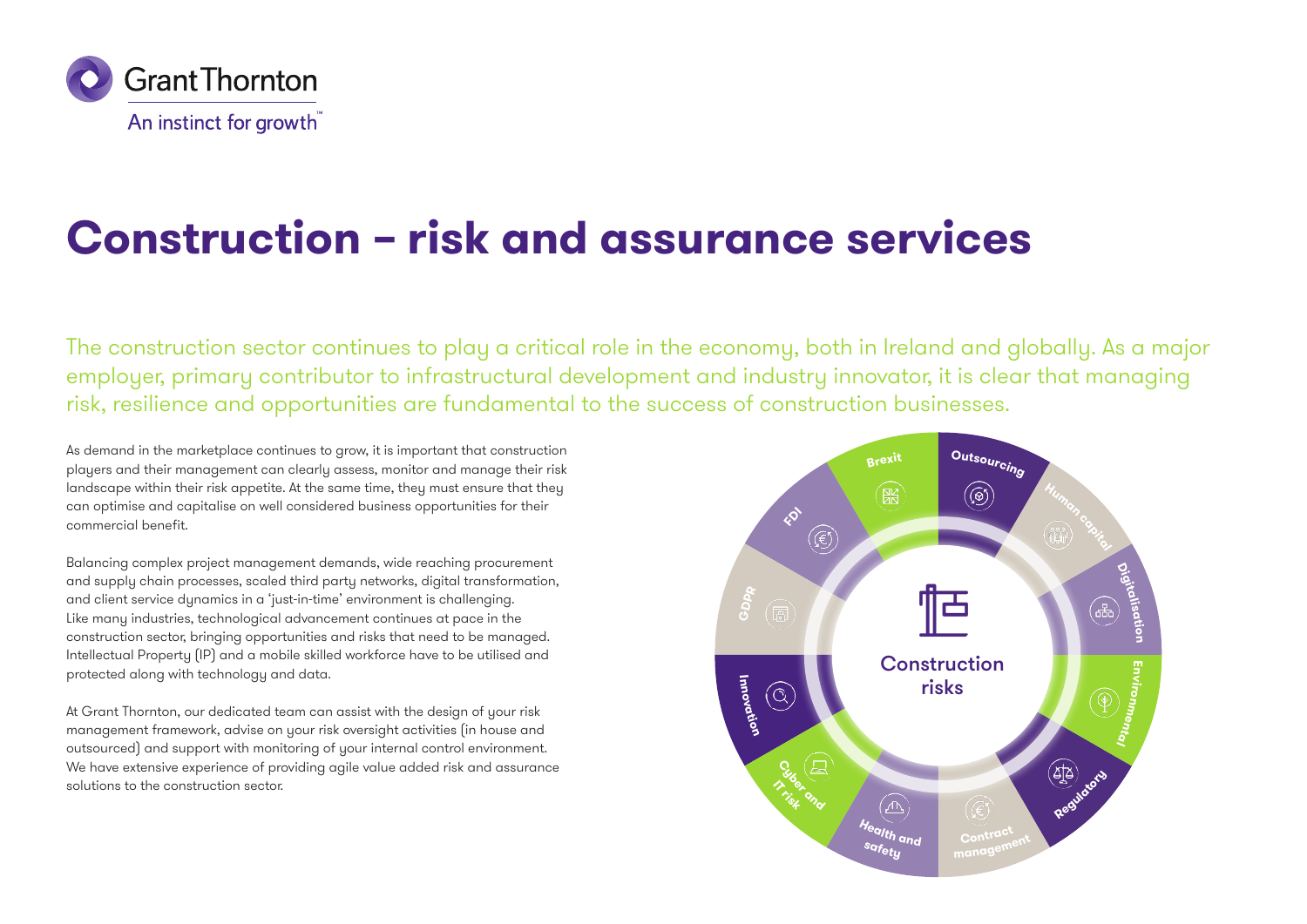

# **Construction – risk and assurance services**

The construction sector continues to play a critical role in the economy, both in Ireland and globally. As a major employer, primary contributor to infrastructural development and industry innovator, it is clear that managing risk, resilience and opportunities are fundamental to the success of construction businesses.

As demand in the marketplace continues to grow, it is important that construction players and their management can clearly assess, monitor and manage their risk landscape within their risk appetite. At the same time, they must ensure that they can optimise and capitalise on well considered business opportunities for their commercial benefit.

Balancing complex project management demands, wide reaching procurement and supply chain processes, scaled third party networks, digital transformation, and client service dunamics in a 'just-in-time' environment is challenging. Like many industries, technological advancement continues at pace in the construction sector, bringing opportunities and risks that need to be managed. Intellectual Property (IP) and a mobile skilled workforce have to be utilised and protected along with technology and data.

At Grant Thornton, our dedicated team can assist with the design of your risk management framework, advise on your risk oversight activities (in house and outsourced) and support with monitoring of your internal control environment. We have extensive experience of providing agile value added risk and assurance solutions to the construction sector.